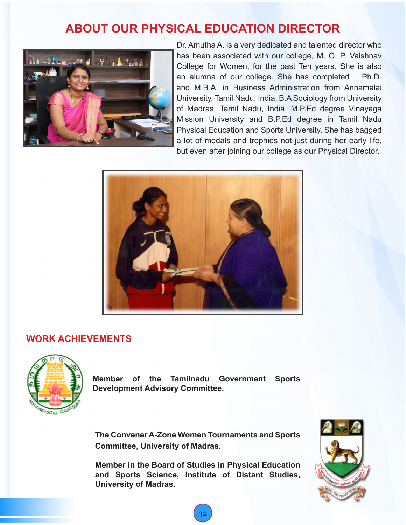## **ABOUT OUR PHYSICAL EDUCATION DIRECTOR**



Dr. Amutha A. is a very dedicated and talented director who has been associated with our college, M. O. P. Vaishnav College for Women, for the past Ten years. She is also an alumna of our college. She has completed Ph.D. and M.B.A. in Business Administration from Annamalai University, Tamil Nadu, India, B.A Sociology from University of Madras, Tamil Nadu, India, M.P.Ed degree Vinayaga Mission University and B.P.Ed degree in Tamil Nadu Physical Education and Sports University. She has bagged a lot of medals and trophies not just during her early life, but even after joining our college as our Physical Director.



## **WORK ACHIEVEMENTS**



**Member of the Tamilnadu Government Sports Development Advisory Committee.**

**The Convener A-Zone Women Tournaments and Sports Committee, University of Madras.**

**Member in the Board of Studies in Physical Education and Sports Science, Institute of Distant Studies, University of Madras.**

32